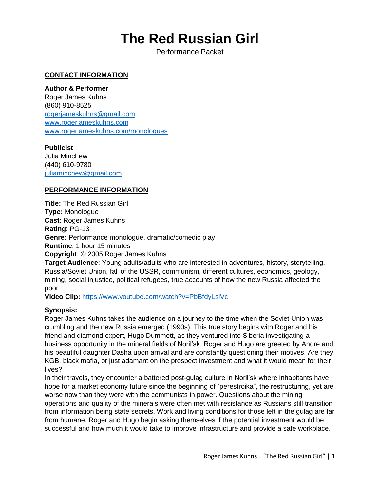# **The Red Russian Girl**

Performance Packet

## **CONTACT INFORMATION**

**Author & Performer**

Roger James Kuhns (860) 910-8525 [rogerjameskuhns@gmail.com](mailto:rogerjameskuhns@gmail.com) [www.rogerjameskuhns.com](http://www.rogerjameskuhns.com/) [www.rogerjameskuhns.com/monologues](http://www.rogerjameskuhns.com/monologues)

#### **Publicist**

Julia Minchew (440) 610-9780 [juliaminchew@gmail.com](mailto:juliaminchew@gmail.com)

#### **PERFORMANCE INFORMATION**

**Title:** The Red Russian Girl **Type:** Monologue **Cast**: Roger James Kuhns **Rating**: PG-13 **Genre:** Performance monologue, dramatic/comedic play **Runtime**: 1 hour 15 minutes **Copyright**: © 2005 Roger James Kuhns **Target Audience**: Young adults/adults who are interested in adventures, history, storytelling,

Russia/Soviet Union, fall of the USSR, communism, different cultures, economics, geology, mining, social injustice, political refugees, true accounts of how the new Russia affected the poor

**Video Clip:** <https://www.youtube.com/watch?v=PbBfdyLslVc>

#### **Synopsis:**

Roger James Kuhns takes the audience on a journey to the time when the Soviet Union was crumbling and the new Russia emerged (1990s). This true story begins with Roger and his friend and diamond expert, Hugo Dummett, as they ventured into Siberia investigating a business opportunity in the mineral fields of Noril'sk. Roger and Hugo are greeted by Andre and his beautiful daughter Dasha upon arrival and are constantly questioning their motives. Are they KGB, black mafia, or just adamant on the prospect investment and what it would mean for their lives?

In their travels, they encounter a battered post-gulag culture in Noril'sk where inhabitants have hope for a market economy future since the beginning of "perestroika", the restructuring, yet are worse now than they were with the communists in power. Questions about the mining operations and quality of the minerals were often met with resistance as Russians still transition from information being state secrets. Work and living conditions for those left in the gulag are far from humane. Roger and Hugo begin asking themselves if the potential investment would be successful and how much it would take to improve infrastructure and provide a safe workplace.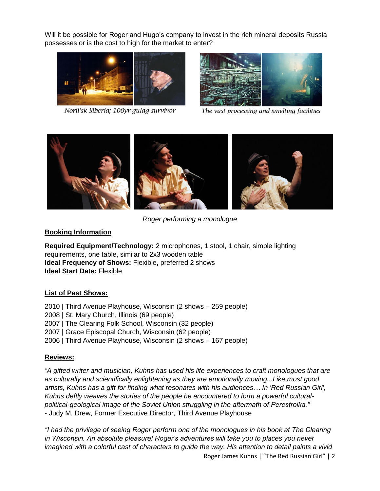Will it be possible for Roger and Hugo's company to invest in the rich mineral deposits Russia possesses or is the cost to high for the market to enter?



Noril'sk Siberia; 100yr gulag survivor



The vast processing and smelting facilities



*Roger performing a monologue*

## **Booking Information**

**Required Equipment/Technology:** 2 microphones, 1 stool, 1 chair, simple lighting requirements, one table, similar to 2x3 wooden table **Ideal Frequency of Shows:** Flexible**,** preferred 2 shows **Ideal Start Date:** Flexible

# **List of Past Shows:**

2010 | Third Avenue Playhouse, Wisconsin (2 shows – 259 people) 2008 | St. Mary Church, Illinois (69 people) 2007 | The Clearing Folk School, Wisconsin (32 people) 2007 | Grace Episcopal Church, Wisconsin (62 people) 2006 | Third Avenue Playhouse, Wisconsin (2 shows – 167 people)

## **Reviews:**

*"A gifted writer and musician, Kuhns has used his life experiences to craft monologues that are as culturally and scientifically enlightening as they are emotionally moving...Like most good artists, Kuhns has a gift for finding what resonates with his audiences… In 'Red Russian Girl', Kuhns deftly weaves the stories of the people he encountered to form a powerful culturalpolitical-geological image of the Soviet Union struggling in the aftermath of Perestroika."* - Judy M. Drew, Former Executive Director, Third Avenue Playhouse

*"I had the privilege of seeing Roger perform one of the monologues in his book at The Clearing in Wisconsin. An absolute pleasure! Roger's adventures will take you to places you never imagined with a colorful cast of characters to guide the way. His attention to detail paints a vivid* 

Roger James Kuhns | "The Red Russian Girl" | 2